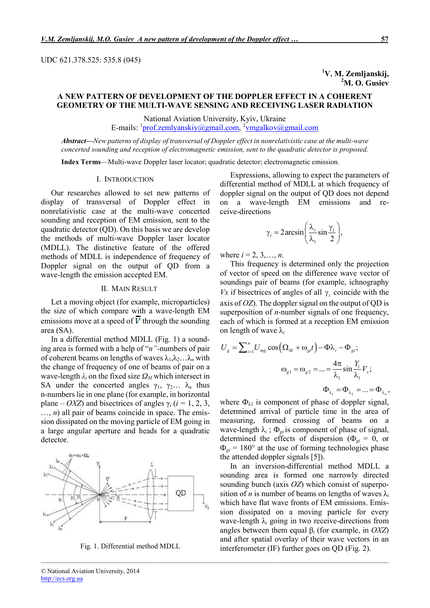#### UDC 621.378.525: 535.8 (045)

<sup>1</sup>V. M. Zemljanskij, <sup>2</sup>M. O. Gusiev

# A NEW PATTERN OF DEVELOPMENT OF THE DOPPLER EFFECT IN A COHERENT GEOMETRY OF THE MULTI-WAVE SENSING AND RECEIVING LASER RADIATION

National Aviation University, Kyiv, Ukraine E-mails: <sup>1</sup>prof.zemlyanskiy@gmail.com, <sup>2</sup>ymgalkov@gmail.com

*Abstract*—*New patterns of display of transversal of Doppler effect in nonrelativistic case at the multi-wave concerted sounding and reception of electromagnetic emission, sent to the quadratic detector is proposed.* 

*\_\_\_\_\_\_\_\_\_\_\_\_\_\_\_\_\_\_\_\_\_\_\_\_\_\_\_\_\_\_\_\_\_\_\_\_\_\_\_\_\_\_\_\_\_\_\_\_\_\_\_\_\_\_\_\_\_\_\_\_\_\_\_\_\_\_\_\_\_\_\_\_\_\_\_\_\_\_\_\_\_\_\_\_\_\_\_\_\_\_\_\_\_\_\_\_\_\_\_\_\_\_\_\_\_\_\_*

Index Terms—Multi-wave Doppler laser locator; quadratic detector; electromagnetic emission.

# I. INTRODUCTION

Our researches allowed to set new patterns of display of transversal of Doppler effect in nonrelativistic case at the multi-wave concerted sounding and reception of EM emission, sent to the quadratic detector (QD). On this basis we are develop the methods of multi-wave Doppler laser locator (MDLL). The distinctive feature of the offered methods of MDLL is independence of frequency of Doppler signal on the output of QD from a wave-length the emission accepted EM.

# II. MAIN RESULT

Let a moving object (for example, microparticles) the size of which compare with a wave-length EM emissions move at a speed of  $\overline{V}$  through the sounding area (SA).

In a differential method MDLL (Fig. 1) a sounding area is formed with a help of "*n"*-numbers of pair of coherent beams on lengths of waves  $\lambda_1, \lambda_2, \ldots, \lambda_n$  with the change of frequency of one of beams of pair on a wave-length  $\lambda_i$  on the fixed size  $\Omega_M$  which intersect in SA under the concerted angles  $\gamma_1$ ,  $\gamma_2$ ...  $\lambda_n$  thus n-numbers lie in one plane (for example, in horizontal plane – *OXZ*) and bisectrices of angles  $\gamma_i$  (*i* = 1, 2, 3, …, *n*) all pair of beams coincide in space. The emission dissipated on the moving particle of EM going in a large angular aperture and heads for a quadratic detector.



Fig. 1. Differential method MDLL

Expressions, allowing to expect the parameters of differential method of MDLL at which frequency of doppler signal on the output of QD does not depend on a wave-length EM emissions and receive-directions

$$
\gamma_i = 2 \arcsin\left(\frac{\lambda_i}{\lambda_1} \sin\frac{\gamma_1}{2}\right),\,
$$

where  $i = 2, 3, ..., n$ .

This frequency is determined only the projection of vector of speed on the difference wave vector of soundings pair of beams (for example, ichnography *Vx* if bisectrices of angles of all  $\gamma$  coincide with the axis of *OZ*). The doppler signal on the output of QD is superposition of *n*-number signals of one frequency, each of which is formed at a reception EM emission on length of wave λ*<sup>i</sup>*

$$
U_g = \sum_{i=1}^n U_{mg} \cos(\Omega_M + \omega_{gi}t) - \Phi \lambda_i - \Phi_{gi};
$$
  

$$
\omega_{g1} = \omega_{g2} = ... = \frac{4\pi}{\lambda_1} \sin \frac{Y_1}{\lambda_1} V_x;
$$
  

$$
\Phi_{\lambda_1} = \Phi_{\lambda_2} = ... = \Phi_{\lambda_n},
$$

where  $\Phi_{\lambda 1}$  is component of phase of doppler signal, determined arrival of particle time in the area of measuring, formed crossing of beams on a wave-length  $\lambda_i$ ;  $\Phi_{gi}$  is component of phase of signal, determined the effects of dispersion ( $\Phi_{qi} = 0$ , or  $\Phi_{gi}$  = 180° at the use of forming technologies phase the attended doppler signals [5]).

In an inversion-differential method MDLL a sounding area is formed one narrowly directed sounding bunch (axis *OZ*) which consist of superposition of *n* is number of beams on lengths of waves  $\lambda_i$ which have flat wave fronts of EM emissions. Emission dissipated on a moving particle for every wave-length  $\lambda_i$  going in two receive-directions from angles between them equal β*<sup>i</sup>* (for example, in *OXZ*) and after spatial overlay of their wave vectors in an interferometer (IF) further goes on QD (Fig. 2).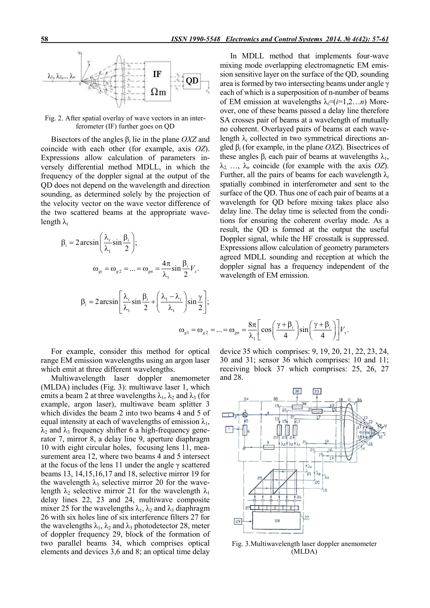

Fig. 2. After spatial overlay of wave vectors in an interferometer (IF) further goes on QD

Bisectors of the angles β*<sup>i</sup>* lie in the plane *OXZ* and coincide with each other (for example, axis *OZ*). Expressions allow calculation of parameters inversely differential method MDLL, in which the frequency of the doppler signal at the output of the QD does not depend on the wavelength and direction sounding, as determined solely by the projection of the velocity vector on the wave vector difference of the two scattered beams at the appropriate wavelength λ*<sup>i</sup>*

$$
\beta_i = 2 \arcsin\left(\frac{\lambda_i}{\lambda_1} \sin \frac{\beta_i}{2}\right);
$$
  

$$
\omega_{gi} = \omega_{g2} = ... = \omega_{gn} = \frac{4\pi}{\lambda_1} \sin \frac{\beta_i}{2} V_x.
$$
  

$$
\beta_i = 2 \arcsin\left[\frac{\lambda_i}{\lambda_1} \sin \frac{\beta_i}{2} + \left(\frac{\lambda_1 - \lambda_i}{\lambda_1}\right) \sin \frac{\gamma}{2}\right];
$$

In MDLL method that implements four-wave mixing mode overlapping electromagnetic EM emission sensitive layer on the surface of the QD, sounding area is formed by two intersecting beams under angle γ each of which is a superposition of n-number of beams of EM emission at wavelengths  $\lambda_i = (i=1,2...n)$  Moreover, one of these beams passed a delay line therefore SA crosses pair of beams at a wavelength of mutually no coherent. Overlayed pairs of beams at each wavelength  $\lambda_i$  collected in two symmetrical directions angled β*<sup>i</sup>* (for example, in the plane *OXZ*). Bisectrices of these angles  $\beta_i$  each pair of beams at wavelengths  $\lambda_1$ ,  $\lambda_2$  …,  $\lambda_n$  coincide (for example with the axis *OZ*). Further, all the pairs of beams for each wavelength  $\lambda_i$ spatially combined in interferometer and sent to the surface of the QD. Thus one of each pair of beams at a wavelength for QD before mixing takes place also delay line. The delay time is selected from the conditions for ensuring the coherent overlay mode. As a result, the QD is formed at the output the useful Doppler signal, while the HF crosstalk is suppressed. Expressions allow calculation of geometry parameters agreed MDLL sounding and reception at which the doppler signal has a frequency independent of the wavelength of EM emission.

$$
\omega_{g1} = \omega_{g2} = \dots = \omega_{gn} = \frac{8\pi}{\lambda_1} \left[ \cos\left(\frac{\gamma + \beta_i}{4}\right) \sin\left(\frac{\gamma + \beta_i}{4}\right) \right] V_x.
$$

For example, consider this method for optical range EM emission wavelengths using an argon laser which emit at three different wavelengths.

Multiwavelength laser doppler anemometer (MLDA) includes (Fig. 3): multiwave laser 1, which emits a beam 2 at three wavelengths  $\lambda_1$ ,  $\lambda_2$  and  $\lambda_3$  (for example, argon laser), multiwave beam splitter 3 which divides the beam 2 into two beams 4 and 5 of equal intensity at each of wavelengths of emission  $\lambda_1$ ,  $\lambda_2$  and  $\lambda_3$  frequency shifter 6 a high-frequency generator 7, mirror 8, a delay line 9, aperture diaphragm 10 with eight circular holes, focusing lens 11, measurement area 12, where two beams 4 and 5 intersect at the focus of the lens 11 under the angle  $\gamma$  scattered beams 13, 14,15,16,17 and 18, selective mirror 19 for the wavelength  $\lambda_3$  selective mirror 20 for the wavelength  $\lambda_2$  selective mirror 21 for the wavelength  $\lambda_1$ delay lines 22, 23 and 24, multiwave composite mixer 25 for the wavelengths  $\lambda_1$ ,  $\lambda_2$  and  $\lambda_3$  diaphragm 26 with six holes line of six interference filters 27 for the wavelengths  $\lambda_1$ ,  $\lambda_2$  and  $\lambda_3$  photodetector 28, meter of doppler frequency 29, block of the formation of two parallel beams 34, which comprises optical elements and devices 3,6 and 8; an optical time delay

device 35 which comprises: 9, 19, 20, 21, 22, 23, 24, 30 and 31; sensor 36 which comprises: 10 and 11; receiving block 37 which comprises: 25, 26, 27 and 28.



Fig. 3.Multiwavelength laser doppler anemometer (MLDA)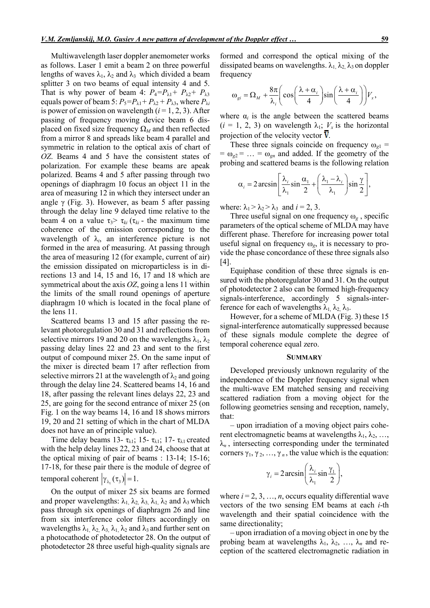Multiwavelength laser doppler anemometer works as follows. Laser 1 emit a beam 2 on three powerful lengths of waves  $\lambda_1$ ,  $\lambda_2$  and  $\lambda_3$  which divided a beam splitter 3 on two beams of equal intensity 4 and 5. That is why power of beam 4:  $P_4 = P_{\lambda 1} + P_{\lambda 2} + P_{\lambda 3}$ equals power of beam 5:  $P_5 = P_{\lambda 1} + P_{\lambda 2} + P_{\lambda 3}$ , where  $P_{\lambda i}$ is power of emission on wavelength (*і* = 1, 2, 3). After passing of frequency moving device beam 6 displaced on fixed size frequency  $\Omega_M$  and then reflected from a mirror 8 and spreads like beam 4 parallel and symmetric in relation to the optical axis of chart of *OZ*. Beams 4 and 5 have the consistent states of polarization. For example these beams are apeak polarized. Beams 4 and 5 after passing through two openings of diaphragm 10 focus an object 11 in the area of measuring 12 in which they intersect under an angle  $\gamma$  (Fig. 3). However, as beam 5 after passing through the delay line 9 delayed time relative to the beam 4 on a value  $\tau_3$   $\tau_{ki}$  ( $\tau_{ki}$  - the maximum time coherence of the emission corresponding to the wavelength of  $\lambda_i$ , an interference picture is not formed in the area of measuring. At passing through the area of measuring 12 (for example, current of air) the emission dissipated on microparticless is in directions 13 and 14, 15 and 16, 17 and 18 which are symmetrical about the axis *OZ*, going a lens 11 within the limits of the small round openings of aperture diaphragm 10 which is located in the focal plane of the lens 11.

Scattered beams 13 and 15 after passing the relevant photoregulation 30 and 31 and reflections from selective mirrors 19 and 20 on the wavelengths  $\lambda_1$ ,  $\lambda_2$ passing delay lines 22 and 23 and sent to the first output of compound mixer 25. On the same input of the mixer is directed beam 17 after reflection from selective mirrors 21 at the wavelength of  $\lambda_2$  and going through the delay line 24. Scattered beams 14, 16 and 18, after passing the relevant lines delays 22, 23 and 25, are going for the second entrance of mixer 25 (on Fig. 1 on the way beams 14, 16 and 18 shows mirrors 19, 20 and 21 setting of which in the chart of MLDA does not have an of principle value).

Time delay beams 13-  $\tau_{\lambda 1}$ ; 15-  $\tau_{\lambda 1}$ ; 17-  $\tau_{\lambda 1}$  created with the help delay lines 22, 23 and 24, choose that at the optical mixing of pair of beams : 13-14; 15-16; 17-18, for these pair there is the module of degree of temporal coherent  $|\gamma_{\lambda}(\tau_3)| = 1$ .

On the output of mixer 25 six beams are formed and proper wavelengths:  $\lambda_1$ ,  $\lambda_2$ ,  $\lambda_3$ ,  $\lambda_1$ ,  $\lambda_2$  and  $\lambda_3$  which pass through six openings of diaphragm 26 and line from six interference color filters accordingly on wavelengths  $\lambda_1$ ,  $\lambda_2$ ,  $\lambda_3$ ,  $\lambda_1$ ,  $\lambda_2$  and  $\lambda_3$  and further sent on a photocathode of photodetector 28. On the output of photodetector 28 three useful high-quality signals are

formed and correspond the optical mixing of the dissipated beams on wavelengths.  $\lambda_1$ ,  $\lambda_2$ ,  $\lambda_3$  on doppler frequency

$$
\omega_{gi} = \Omega_M + \frac{8\pi}{\lambda_i} \left( \cos\left(\frac{\lambda + \alpha_i}{4}\right) \sin\left(\frac{\lambda + \alpha_i}{4}\right) \right) V_x,
$$

where  $\alpha_i$  is the angle between the scattered beams  $(i = 1, 2, 3)$  on wavelength  $\lambda_1$ ;  $V_x$  is the horizontal projection of the velocity vector  $\overline{V}$ .

These three signals coincide on frequency  $\omega_{g1}$  =  $= \omega_{g2} = ... = \omega_{gn}$  and added. If the geometry of the probing and scattered beams is the following relation

$$
\alpha_i = 2 \arcsin \left[ \frac{\lambda_i}{\lambda_1} \sin \frac{\alpha_1}{2} + \left( \frac{\lambda_1 - \lambda_i}{\lambda_1} \right) \sin \frac{\gamma}{2} \right],
$$

where:  $\lambda_1 > \lambda_2 > \lambda_3$  and  $i = 2, 3$ .

Three useful signal on one frequency ω*<sup>g</sup>* , specific parameters of the optical scheme of MLDA may have different phase. Therefore for increasing power total useful signal on frequency  $\omega_{g}$ , it is necessary to provide the phase concordance of these three signals also [4].

Equiphase condition of these three signals is ensured with the photoregulator 30 and 31. On the output of photodetector 2 also can be formed high-frequency signals-interference, accordingly 5 signals-interference for each of wavelengths  $\lambda_1$ ,  $\lambda_2$ ,  $\lambda_3$ .

However, for a scheme of MLDA (Fig. 3) these 15 signal-interference automatically suppressed because of these signals module complete the degree of temporal coherence equal zero.

#### **SUMMARY**

Developed previously unknown regularity of the independence of the Doppler frequency signal when the multi-wave EM matched sensing and receiving scattered radiation from a moving object for the following geometries sensing and reception, namely, that:

– upon irradiation of a moving object pairs coherent electromagnetic beams at wavelengths  $\lambda_1, \lambda_2, ...,$  $\lambda_n$ , intersecting corresponding under the terminated corners  $\gamma_1, \gamma_2, ..., \gamma_n$ , the value which is the equation:

$$
\gamma_i = 2 \arcsin\left(\frac{\lambda_i}{\lambda_1} \sin\frac{\gamma_1}{2}\right),\,
$$

where  $i = 2, 3, ..., n$ , occurs equality differential wave vectors of the two sensing EM beams at each *i*-th wavelength and their spatial coincidence with the same directionality;

– upon irradiation of a moving object in one by the probing beam at wavelengths  $\lambda_1$ ,  $\lambda_2$ , ...,  $\lambda_n$  and reception of the scattered electromagnetic radiation in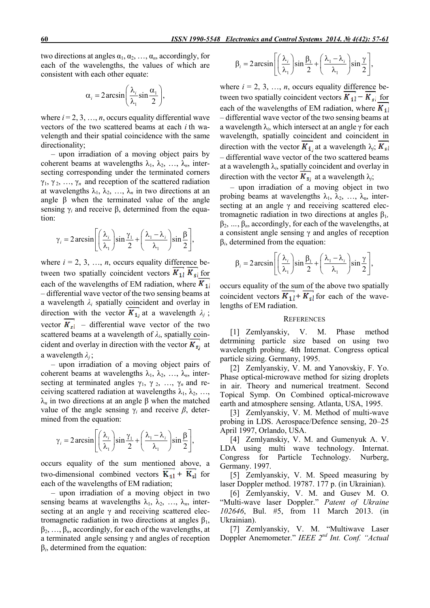two directions at angles  $\alpha_1, \alpha_2, \ldots, \alpha_n$ , accordingly, for each of the wavelengths, the values of which are consistent with each other equate:

$$
\alpha_i = 2 \arcsin\left(\frac{\lambda_i}{\lambda_1} \sin \frac{\alpha_1}{2}\right),\,
$$

where  $i = 2, 3, ..., n$ , occurs equality differential wave vectors of the two scattered beams at each *i*.th wavelength and their spatial coincidence with the same directionality;

– upon irradiation of a moving object pairs by coherent beams at wavelengths  $\lambda_1, \lambda_2, \ldots, \lambda_n$ , intersecting corresponding under the terminated corners  $\gamma_1, \gamma_2, \ldots, \gamma_n$  and reception of the scattered radiation at wavelengths  $\lambda_1, \lambda_2, \ldots, \lambda_n$  in two directions at an angle  $\beta$  when the terminated value of the angle sensing  $γ<sub>i</sub>$  and receive β, determined from the equation:

$$
\gamma_i = 2 \arcsin \left[ \left( \frac{\lambda_i}{\lambda_1} \right) \sin \frac{\gamma_1}{2} + \left( \frac{\lambda_1 - \lambda_i}{\lambda_1} \right) \sin \frac{\beta}{2} \right],
$$

where  $i = 2, 3, \ldots, n$ , occurs equality difference between two spatially coincident vectors  $K_{11} K_{s1}$  for each of the wavelengths of EM radiation, where  $K_{11}$ – differential wave vector of the two sensing beams at a wavelength *λi* spatially coincident and overlay in direction with the vector  $K_{1i}$  at a wavelength  $\lambda_i$ ; vector  $K_{s1}$  – differential wave vector of the two scattered beams at a wavelength of  $\lambda_i$ , spatially coincident and overlay in direction with the vector  $K_{s_1}$  at a wavelength *λj* ;

– upon irradiation of a moving object pairs of coherent beams at wavelengths  $\lambda_1, \lambda_2, \ldots, \lambda_n$ , intersecting at terminated angles  $\gamma_1$ ,  $\gamma_2$ , ...,  $\gamma_n$  and receiving scattered radiation at wavelengths  $\lambda_1, \lambda_2, \ldots$ λ*<sup>n</sup>* in two directions at an angle β when the matched value of the angle sensing γ*<sup>i</sup>* and receive *β*, determined from the equation:

$$
\gamma_i = 2 \arcsin \left[ \left( \frac{\lambda_i}{\lambda_1} \right) \sin \frac{\gamma_1}{2} + \left( \frac{\lambda_1 - \lambda_i}{\lambda_1} \right) \sin \frac{\beta}{2} \right],
$$

occurs equality of the sum mentioned above, a two-dimensional combined vectors  $K_{11} + K_{51}$  for each of the wavelengths of EM radiation;

– upon irradiation of a moving object in two sensing beams at wavelengths  $\lambda_1$ ,  $\lambda_2$ , ...,  $\lambda_n$ , intersecting at an angle  $\gamma$  and receiving scattered electromagnetic radiation in two directions at angles  $β_1$ , β2, …, β*n*, accordingly, for each of the wavelengths, at a terminated angle sensing γ and angles of reception β*і*, determined from the equation:

$$
\beta_i = 2 \arcsin\left[\left(\frac{\lambda_i}{\lambda_1}\right) \sin\frac{\beta_1}{2} + \left(\frac{\lambda_1 - \lambda_i}{\lambda_1}\right) \sin\frac{\gamma}{2}\right],
$$

where  $i = 2, 3, ..., n$ , occurs equality difference between two spatially coincident vectors  $K_{1l} - K_{sl}$  for each of the wavelengths of EM radiation, where  $K_{11}$ – differential wave vector of the two sensing beams at a wavelength λ*i*, which intersect at an angle γ for each wavelength, spatially coincident and coincident in direction with the vector  $K_{\perp}$  at a wavelength  $\lambda_i$ ;  $K_{\leq l}$ – differential wave vector of the two scattered beams at a wavelength  $\lambda_i$ , spatially coincident and overlay in direction with the vector  $K_{s}$  at a wavelength  $\lambda_j$ ;

– upon irradiation of a moving object in two probing beams at wavelengths  $\lambda_1$ ,  $\lambda_2$ , ...,  $\lambda_n$ , intersecting at an angle  $\gamma$  and receiving scattered electromagnetic radiation in two directions at angles β1*,*  β2, *…*, β*n*, accordingly, for each of the wavelengths, at a consistent angle sensing  $\gamma$  and angles of reception β*і*, determined from the equation:

$$
\beta_i = 2 \arcsin\left[\left(\frac{\lambda_i}{\lambda_1}\right) \sin\frac{\beta_1}{2} + \left(\frac{\lambda_1 - \lambda_i}{\lambda_1}\right) \sin\frac{\gamma}{2}\right],
$$

occurs equality of the sum of the above two spatially coincident vectors  $K_{1}$ <sup>+</sup> $K_{s}$ <sup>f</sup> for each of the wavelengths of EM radiation.

## **REFERENCES**

[1] Zemlyanskiy, V. M. Phase method detrmining particle size based on using two wavelength probing. 4th Internat. Congress optical particle sizing. Germany, 1995.

[2] Zemlyanskiy, V. M. and Yanovskiy, F. Yo. Phase optical-microwave method for sizing droplets in air. Theory and numerical treatment. Second Topical Symp. On Combined optical-microwave earth and atmosphere sensing. Atlanta, USA, 1995.

[3] Zemlyanskiy, V. M. Method of multi-wave probing in LDS. Aerospace/Defence sensing, 20–25 April 1997, Orlando, USA.

[4] Zemlyanskiy, V. M. and Gumenyuk A. V. LDA using multi wave technology. Internat. Congress for Particle Technology. Nurberg, Germany. 1997.

[5] Zemlyanskiy, V. M. Speed measuring by laser Doppler method. 19787. 177 p. (in Ukrainian).

[6] Zemlyanskiy, V. M. and Gusev M. O. "Multi-wave laser Doppler." *Patent of Ukraine 102646*, Bul. #5, from 11 March 2013. (in Ukrainian).

[7] Zemlyanskiy, V. M. "Multiwave Laser Doppler Anemometer." *IEEE 2nd Int. Conf. "Actual*